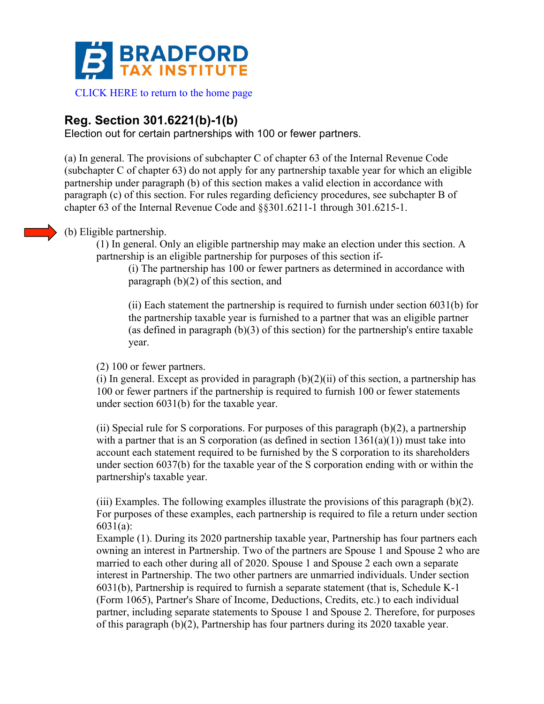

# **Reg. Section 301.6221(b)-1(b)**

Election out for certain partnerships with 100 or fewer partners.

(a) In general. The provisions of subchapter C of chapter 63 of the Internal Revenue Code (subchapter C of chapter 63) do not apply for any partnership taxable year for which an eligible partnership under paragraph (b) of this section makes a valid election in accordance with paragraph (c) of this section. For rules regarding deficiency procedures, see subchapter B of chapter 63 of the Internal Revenue Code and §§301.6211-1 through 301.6215-1.

# (b) Eligible partnership.

(1) In general. Only an eligible partnership may make an election under this section. A partnership is an eligible partnership for purposes of this section if-

(i) The partnership has 100 or fewer partners as determined in accordance with paragraph (b)(2) of this section, and

(ii) Each statement the partnership is required to furnish under section 6031(b) for the partnership taxable year is furnished to a partner that was an eligible partner (as defined in paragraph (b)(3) of this section) for the partnership's entire taxable year.

(2) 100 or fewer partners.

(i) In general. Except as provided in paragraph  $(b)(2)(ii)$  of this section, a partnership has 100 or fewer partners if the partnership is required to furnish 100 or fewer statements under section 6031(b) for the taxable year.

(ii) Special rule for S corporations. For purposes of this paragraph  $(b)(2)$ , a partnership with a partner that is an S corporation (as defined in section  $1361(a)(1)$ ) must take into account each statement required to be furnished by the S corporation to its shareholders under section 6037(b) for the taxable year of the S corporation ending with or within the partnership's taxable year.

(iii) Examples. The following examples illustrate the provisions of this paragraph  $(b)(2)$ . For purposes of these examples, each partnership is required to file a return under section 6031(a):

Example (1). During its 2020 partnership taxable year, Partnership has four partners each owning an interest in Partnership. Two of the partners are Spouse 1 and Spouse 2 who are married to each other during all of 2020. Spouse 1 and Spouse 2 each own a separate interest in Partnership. The two other partners are unmarried individuals. Under section 6031(b), Partnership is required to furnish a separate statement (that is, Schedule K-1 (Form 1065), Partner's Share of Income, Deductions, Credits, etc.) to each individual partner, including separate statements to Spouse 1 and Spouse 2. Therefore, for purposes of this paragraph  $(b)(2)$ , Partnership has four partners during its 2020 taxable year.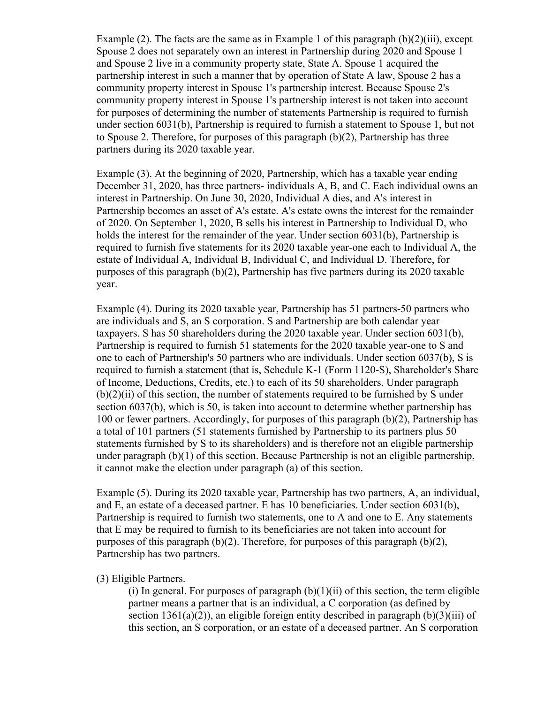Example (2). The facts are the same as in Example 1 of this paragraph  $(b)(2)(iii)$ , except Spouse 2 does not separately own an interest in Partnership during 2020 and Spouse 1 and Spouse 2 live in a community property state, State A. Spouse 1 acquired the partnership interest in such a manner that by operation of State A law, Spouse 2 has a community property interest in Spouse 1's partnership interest. Because Spouse 2's community property interest in Spouse 1's partnership interest is not taken into account for purposes of determining the number of statements Partnership is required to furnish under section 6031(b), Partnership is required to furnish a statement to Spouse 1, but not to Spouse 2. Therefore, for purposes of this paragraph (b)(2), Partnership has three partners during its 2020 taxable year.

Example (3). At the beginning of 2020, Partnership, which has a taxable year ending December 31, 2020, has three partners- individuals A, B, and C. Each individual owns an interest in Partnership. On June 30, 2020, Individual A dies, and A's interest in Partnership becomes an asset of A's estate. A's estate owns the interest for the remainder of 2020. On September 1, 2020, B sells his interest in Partnership to Individual D, who holds the interest for the remainder of the year. Under section 6031(b), Partnership is required to furnish five statements for its 2020 taxable year-one each to Individual A, the estate of Individual A, Individual B, Individual C, and Individual D. Therefore, for purposes of this paragraph (b)(2), Partnership has five partners during its 2020 taxable year.

Example (4). During its 2020 taxable year, Partnership has 51 partners-50 partners who are individuals and S, an S corporation. S and Partnership are both calendar year taxpayers. S has 50 shareholders during the 2020 taxable year. Under section 6031(b), Partnership is required to furnish 51 statements for the 2020 taxable year-one to S and one to each of Partnership's 50 partners who are individuals. Under section 6037(b), S is required to furnish a statement (that is, Schedule K-1 (Form 1120-S), Shareholder's Share of Income, Deductions, Credits, etc.) to each of its 50 shareholders. Under paragraph  $(b)(2)(ii)$  of this section, the number of statements required to be furnished by S under section 6037(b), which is 50, is taken into account to determine whether partnership has 100 or fewer partners. Accordingly, for purposes of this paragraph (b)(2), Partnership has a total of 101 partners (51 statements furnished by Partnership to its partners plus 50 statements furnished by S to its shareholders) and is therefore not an eligible partnership under paragraph (b)(1) of this section. Because Partnership is not an eligible partnership, it cannot make the election under paragraph (a) of this section.

Example (5). During its 2020 taxable year, Partnership has two partners, A, an individual, and E, an estate of a deceased partner. E has 10 beneficiaries. Under section 6031(b), Partnership is required to furnish two statements, one to A and one to E. Any statements that E may be required to furnish to its beneficiaries are not taken into account for purposes of this paragraph  $(b)(2)$ . Therefore, for purposes of this paragraph  $(b)(2)$ , Partnership has two partners.

# (3) Eligible Partners.

(i) In general. For purposes of paragraph  $(b)(1)(ii)$  of this section, the term eligible partner means a partner that is an individual, a C corporation (as defined by section 1361(a)(2)), an eligible foreign entity described in paragraph  $(b)(3)(iii)$  of this section, an S corporation, or an estate of a deceased partner. An S corporation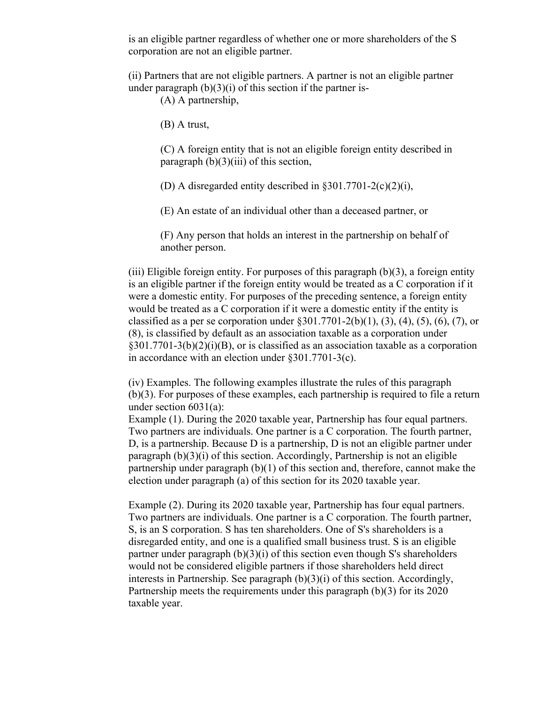is an eligible partner regardless of whether one or more shareholders of the S corporation are not an eligible partner.

(ii) Partners that are not eligible partners. A partner is not an eligible partner under paragraph  $(b)(3)(i)$  of this section if the partner is-

(A) A partnership,

(B) A trust,

(C) A foreign entity that is not an eligible foreign entity described in paragraph  $(b)(3)(iii)$  of this section,

(D) A disregarded entity described in  $\S 301.7701 - 2(c)(2)(i)$ ,

(E) An estate of an individual other than a deceased partner, or

(F) Any person that holds an interest in the partnership on behalf of another person.

(iii) Eligible foreign entity. For purposes of this paragraph  $(b)(3)$ , a foreign entity is an eligible partner if the foreign entity would be treated as a C corporation if it were a domestic entity. For purposes of the preceding sentence, a foreign entity would be treated as a C corporation if it were a domestic entity if the entity is classified as a per se corporation under  $\S 301.7701 - 2(b)(1)$ ,  $(\overline{3})$ ,  $(\overline{4})$ ,  $(\overline{5})$ ,  $(\overline{6})$ ,  $(\overline{7})$ , or (8), is classified by default as an association taxable as a corporation under  $\S 301.7701-3(b)(2)(i)(B)$ , or is classified as an association taxable as a corporation in accordance with an election under §301.7701-3(c).

(iv) Examples. The following examples illustrate the rules of this paragraph (b)(3). For purposes of these examples, each partnership is required to file a return under section 6031(a):

Example (1). During the 2020 taxable year, Partnership has four equal partners. Two partners are individuals. One partner is a C corporation. The fourth partner, D, is a partnership. Because D is a partnership, D is not an eligible partner under paragraph (b)(3)(i) of this section. Accordingly, Partnership is not an eligible partnership under paragraph (b)(1) of this section and, therefore, cannot make the election under paragraph (a) of this section for its 2020 taxable year.

Example (2). During its 2020 taxable year, Partnership has four equal partners. Two partners are individuals. One partner is a C corporation. The fourth partner, S, is an S corporation. S has ten shareholders. One of S's shareholders is a disregarded entity, and one is a qualified small business trust. S is an eligible partner under paragraph (b)(3)(i) of this section even though S's shareholders would not be considered eligible partners if those shareholders held direct interests in Partnership. See paragraph (b)(3)(i) of this section. Accordingly, Partnership meets the requirements under this paragraph (b)(3) for its 2020 taxable year.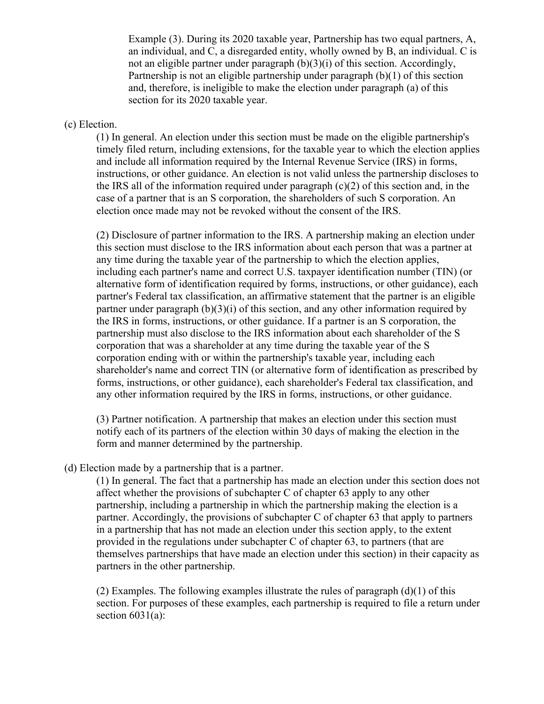Example (3). During its 2020 taxable year, Partnership has two equal partners, A, an individual, and C, a disregarded entity, wholly owned by B, an individual. C is not an eligible partner under paragraph (b)(3)(i) of this section. Accordingly, Partnership is not an eligible partnership under paragraph (b)(1) of this section and, therefore, is ineligible to make the election under paragraph (a) of this section for its 2020 taxable year.

#### (c) Election.

(1) In general. An election under this section must be made on the eligible partnership's timely filed return, including extensions, for the taxable year to which the election applies and include all information required by the Internal Revenue Service (IRS) in forms, instructions, or other guidance. An election is not valid unless the partnership discloses to the IRS all of the information required under paragraph (c)(2) of this section and, in the case of a partner that is an S corporation, the shareholders of such S corporation. An election once made may not be revoked without the consent of the IRS.

(2) Disclosure of partner information to the IRS. A partnership making an election under this section must disclose to the IRS information about each person that was a partner at any time during the taxable year of the partnership to which the election applies, including each partner's name and correct U.S. taxpayer identification number (TIN) (or alternative form of identification required by forms, instructions, or other guidance), each partner's Federal tax classification, an affirmative statement that the partner is an eligible partner under paragraph (b)(3)(i) of this section, and any other information required by the IRS in forms, instructions, or other guidance. If a partner is an S corporation, the partnership must also disclose to the IRS information about each shareholder of the S corporation that was a shareholder at any time during the taxable year of the S corporation ending with or within the partnership's taxable year, including each shareholder's name and correct TIN (or alternative form of identification as prescribed by forms, instructions, or other guidance), each shareholder's Federal tax classification, and any other information required by the IRS in forms, instructions, or other guidance.

(3) Partner notification. A partnership that makes an election under this section must notify each of its partners of the election within 30 days of making the election in the form and manner determined by the partnership.

# (d) Election made by a partnership that is a partner.

(1) In general. The fact that a partnership has made an election under this section does not affect whether the provisions of subchapter C of chapter 63 apply to any other partnership, including a partnership in which the partnership making the election is a partner. Accordingly, the provisions of subchapter C of chapter 63 that apply to partners in a partnership that has not made an election under this section apply, to the extent provided in the regulations under subchapter C of chapter 63, to partners (that are themselves partnerships that have made an election under this section) in their capacity as partners in the other partnership.

(2) Examples. The following examples illustrate the rules of paragraph  $(d)(1)$  of this section. For purposes of these examples, each partnership is required to file a return under section  $6031(a)$ :